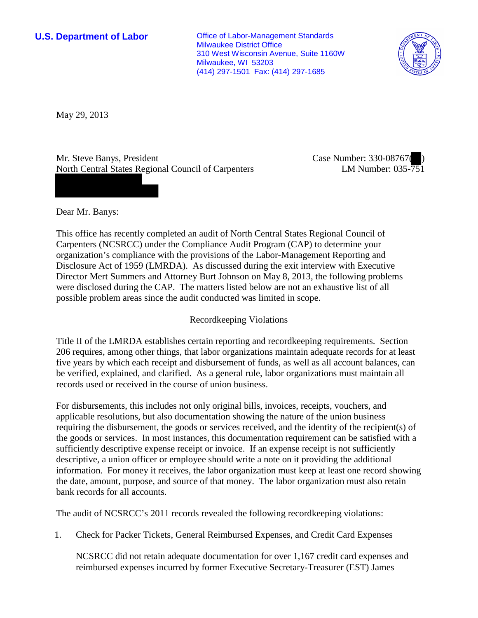**U.S. Department of Labor Office of Labor-Management Standards** Milwaukee District Office 310 West Wisconsin Avenue, Suite 1160W Milwaukee, WI 53203 (414) 297-1501 Fax: (414) 297-1685



May 29, 2013

Mr. Steve Banys, President North Central States Regional Council of Carpenters Case Number: 330-08767( ) LM Number: 035-751

Dear Mr. Banys:

This office has recently completed an audit of North Central States Regional Council of Carpenters (NCSRCC) under the Compliance Audit Program (CAP) to determine your organization's compliance with the provisions of the Labor-Management Reporting and Disclosure Act of 1959 (LMRDA). As discussed during the exit interview with Executive Director Mert Summers and Attorney Burt Johnson on May 8, 2013, the following problems were disclosed during the CAP. The matters listed below are not an exhaustive list of all possible problem areas since the audit conducted was limited in scope.

# Recordkeeping Violations

Title II of the LMRDA establishes certain reporting and recordkeeping requirements. Section 206 requires, among other things, that labor organizations maintain adequate records for at least five years by which each receipt and disbursement of funds, as well as all account balances, can be verified, explained, and clarified. As a general rule, labor organizations must maintain all records used or received in the course of union business.

For disbursements, this includes not only original bills, invoices, receipts, vouchers, and applicable resolutions, but also documentation showing the nature of the union business requiring the disbursement, the goods or services received, and the identity of the recipient(s) of the goods or services. In most instances, this documentation requirement can be satisfied with a sufficiently descriptive expense receipt or invoice. If an expense receipt is not sufficiently descriptive, a union officer or employee should write a note on it providing the additional information. For money it receives, the labor organization must keep at least one record showing the date, amount, purpose, and source of that money. The labor organization must also retain bank records for all accounts.

The audit of NCSRCC's 2011 records revealed the following recordkeeping violations:

1. Check for Packer Tickets, General Reimbursed Expenses, and Credit Card Expenses

NCSRCC did not retain adequate documentation for over 1,167 credit card expenses and reimbursed expenses incurred by former Executive Secretary-Treasurer (EST) James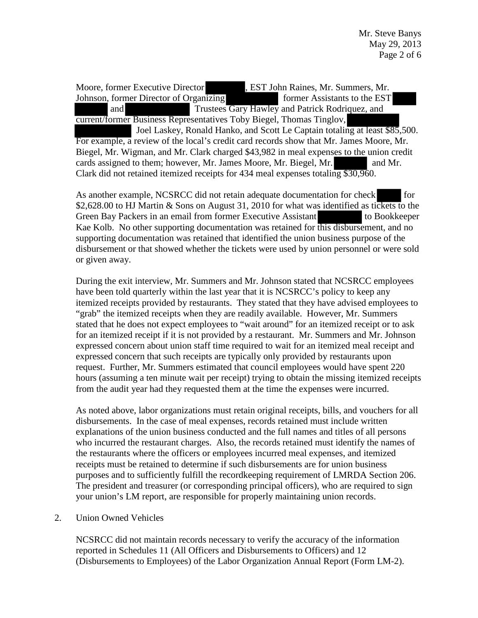Moore, former Executive Director , EST John Raines, Mr. Summers, Mr. Johnson, former Director of Organizing former Assistants to the EST and Trustees Gary Hawley and Patrick Rodriquez, and current/former Business Representatives Toby Biegel, Thomas Tinglov, Joel Laskey, Ronald Hanko, and Scott Le Captain totaling at least \$85,500. For example, a review of the local's credit card records show that Mr. James Moore, Mr. Biegel, Mr. Wigman, and Mr. Clark charged \$43,982 in meal expenses to the union credit cards assigned to them; however, Mr. James Moore, Mr. Biegel, Mr. and Mr. Clark did not retained itemized receipts for 434 meal expenses totaling \$30,960.

As another example, NCSRCC did not retain adequate documentation for check for \$2,628.00 to HJ Martin & Sons on August 31, 2010 for what was identified as tickets to the Green Bay Packers in an email from former Executive Assistant to Bookkeeper Kae Kolb. No other supporting documentation was retained for this disbursement, and no supporting documentation was retained that identified the union business purpose of the disbursement or that showed whether the tickets were used by union personnel or were sold or given away.

During the exit interview, Mr. Summers and Mr. Johnson stated that NCSRCC employees have been told quarterly within the last year that it is NCSRCC's policy to keep any itemized receipts provided by restaurants. They stated that they have advised employees to "grab" the itemized receipts when they are readily available. However, Mr. Summers stated that he does not expect employees to "wait around" for an itemized receipt or to ask for an itemized receipt if it is not provided by a restaurant. Mr. Summers and Mr. Johnson expressed concern about union staff time required to wait for an itemized meal receipt and expressed concern that such receipts are typically only provided by restaurants upon request. Further, Mr. Summers estimated that council employees would have spent 220 hours (assuming a ten minute wait per receipt) trying to obtain the missing itemized receipts from the audit year had they requested them at the time the expenses were incurred.

As noted above, labor organizations must retain original receipts, bills, and vouchers for all disbursements. In the case of meal expenses, records retained must include written explanations of the union business conducted and the full names and titles of all persons who incurred the restaurant charges. Also, the records retained must identify the names of the restaurants where the officers or employees incurred meal expenses, and itemized receipts must be retained to determine if such disbursements are for union business purposes and to sufficiently fulfill the recordkeeping requirement of LMRDA Section 206. The president and treasurer (or corresponding principal officers), who are required to sign your union's LM report, are responsible for properly maintaining union records.

## 2. Union Owned Vehicles

NCSRCC did not maintain records necessary to verify the accuracy of the information reported in Schedules 11 (All Officers and Disbursements to Officers) and 12 (Disbursements to Employees) of the Labor Organization Annual Report (Form LM-2).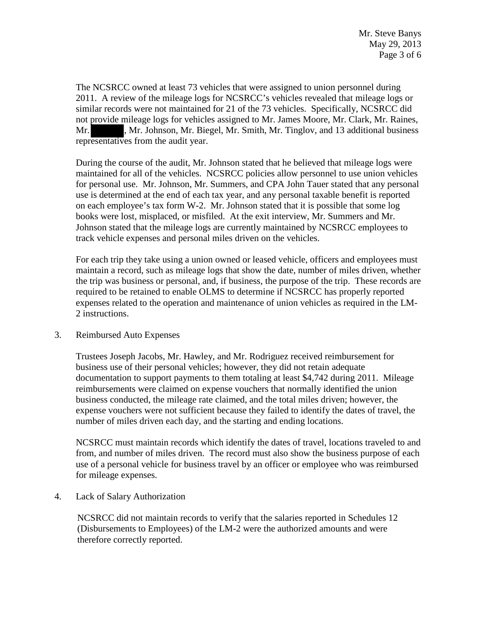The NCSRCC owned at least 73 vehicles that were assigned to union personnel during 2011. A review of the mileage logs for NCSRCC's vehicles revealed that mileage logs or similar records were not maintained for 21 of the 73 vehicles. Specifically, NCSRCC did not provide mileage logs for vehicles assigned to Mr. James Moore, Mr. Clark, Mr. Raines, Mr. Mr. Johnson, Mr. Biegel, Mr. Smith, Mr. Tinglov, and 13 additional business representatives from the audit year.

During the course of the audit, Mr. Johnson stated that he believed that mileage logs were maintained for all of the vehicles. NCSRCC policies allow personnel to use union vehicles for personal use. Mr. Johnson, Mr. Summers, and CPA John Tauer stated that any personal use is determined at the end of each tax year, and any personal taxable benefit is reported on each employee's tax form W-2. Mr. Johnson stated that it is possible that some log books were lost, misplaced, or misfiled. At the exit interview, Mr. Summers and Mr. Johnson stated that the mileage logs are currently maintained by NCSRCC employees to track vehicle expenses and personal miles driven on the vehicles.

For each trip they take using a union owned or leased vehicle, officers and employees must maintain a record, such as mileage logs that show the date, number of miles driven, whether the trip was business or personal, and, if business, the purpose of the trip. These records are required to be retained to enable OLMS to determine if NCSRCC has properly reported expenses related to the operation and maintenance of union vehicles as required in the LM-2 instructions.

## 3. Reimbursed Auto Expenses

Trustees Joseph Jacobs, Mr. Hawley, and Mr. Rodriguez received reimbursement for business use of their personal vehicles; however, they did not retain adequate documentation to support payments to them totaling at least \$4,742 during 2011. Mileage reimbursements were claimed on expense vouchers that normally identified the union business conducted, the mileage rate claimed, and the total miles driven; however, the expense vouchers were not sufficient because they failed to identify the dates of travel, the number of miles driven each day, and the starting and ending locations.

NCSRCC must maintain records which identify the dates of travel, locations traveled to and from, and number of miles driven. The record must also show the business purpose of each use of a personal vehicle for business travel by an officer or employee who was reimbursed for mileage expenses.

4. Lack of Salary Authorization

NCSRCC did not maintain records to verify that the salaries reported in Schedules 12 (Disbursements to Employees) of the LM-2 were the authorized amounts and were therefore correctly reported.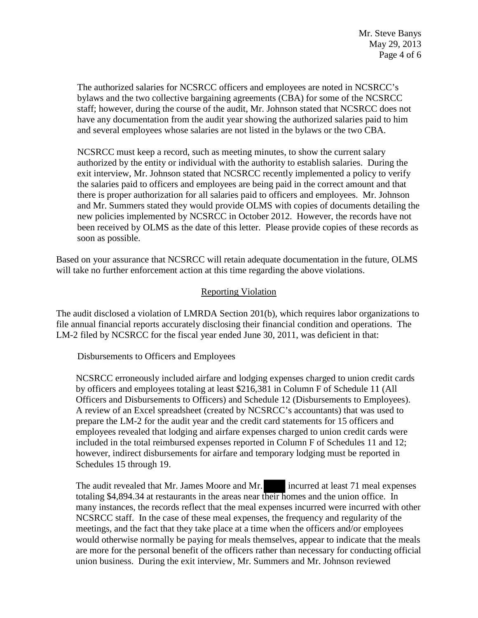The authorized salaries for NCSRCC officers and employees are noted in NCSRCC's bylaws and the two collective bargaining agreements (CBA) for some of the NCSRCC staff; however, during the course of the audit, Mr. Johnson stated that NCSRCC does not have any documentation from the audit year showing the authorized salaries paid to him and several employees whose salaries are not listed in the bylaws or the two CBA.

NCSRCC must keep a record, such as meeting minutes, to show the current salary authorized by the entity or individual with the authority to establish salaries. During the exit interview, Mr. Johnson stated that NCSRCC recently implemented a policy to verify the salaries paid to officers and employees are being paid in the correct amount and that there is proper authorization for all salaries paid to officers and employees. Mr. Johnson and Mr. Summers stated they would provide OLMS with copies of documents detailing the new policies implemented by NCSRCC in October 2012. However, the records have not been received by OLMS as the date of this letter. Please provide copies of these records as soon as possible.

Based on your assurance that NCSRCC will retain adequate documentation in the future, OLMS will take no further enforcement action at this time regarding the above violations.

# Reporting Violation

The audit disclosed a violation of LMRDA Section 201(b), which requires labor organizations to file annual financial reports accurately disclosing their financial condition and operations. The LM-2 filed by NCSRCC for the fiscal year ended June 30, 2011, was deficient in that:

Disbursements to Officers and Employees

NCSRCC erroneously included airfare and lodging expenses charged to union credit cards by officers and employees totaling at least \$216,381 in Column F of Schedule 11 (All Officers and Disbursements to Officers) and Schedule 12 (Disbursements to Employees). A review of an Excel spreadsheet (created by NCSRCC's accountants) that was used to prepare the LM-2 for the audit year and the credit card statements for 15 officers and employees revealed that lodging and airfare expenses charged to union credit cards were included in the total reimbursed expenses reported in Column F of Schedules 11 and 12; however, indirect disbursements for airfare and temporary lodging must be reported in Schedules 15 through 19.

The audit revealed that Mr. James Moore and Mr. incurred at least 71 meal expenses totaling \$4,894.34 at restaurants in the areas near their homes and the union office. In many instances, the records reflect that the meal expenses incurred were incurred with other NCSRCC staff. In the case of these meal expenses, the frequency and regularity of the meetings, and the fact that they take place at a time when the officers and/or employees would otherwise normally be paying for meals themselves, appear to indicate that the meals are more for the personal benefit of the officers rather than necessary for conducting official union business. During the exit interview, Mr. Summers and Mr. Johnson reviewed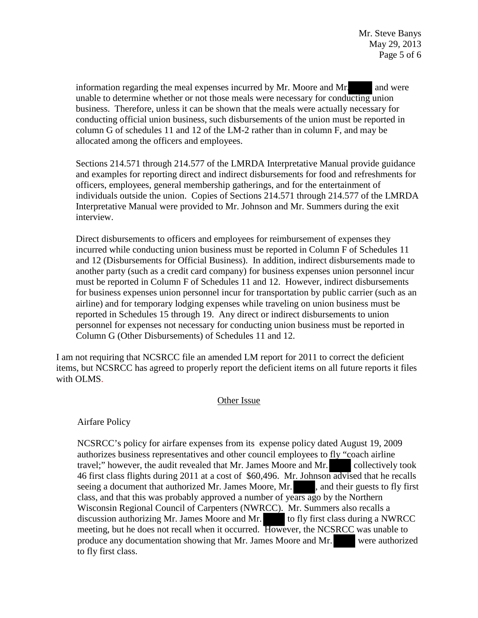information regarding the meal expenses incurred by Mr. Moore and Mr. and were unable to determine whether or not those meals were necessary for conducting union business. Therefore, unless it can be shown that the meals were actually necessary for conducting official union business, such disbursements of the union must be reported in column G of schedules 11 and 12 of the LM-2 rather than in column F, and may be allocated among the officers and employees.

Sections 214.571 through 214.577 of the LMRDA Interpretative Manual provide guidance and examples for reporting direct and indirect disbursements for food and refreshments for officers, employees, general membership gatherings, and for the entertainment of individuals outside the union. Copies of Sections 214.571 through 214.577 of the LMRDA Interpretative Manual were provided to Mr. Johnson and Mr. Summers during the exit interview.

Direct disbursements to officers and employees for reimbursement of expenses they incurred while conducting union business must be reported in Column F of Schedules 11 and 12 (Disbursements for Official Business). In addition, indirect disbursements made to another party (such as a credit card company) for business expenses union personnel incur must be reported in Column F of Schedules 11 and 12. However, indirect disbursements for business expenses union personnel incur for transportation by public carrier (such as an airline) and for temporary lodging expenses while traveling on union business must be reported in Schedules 15 through 19. Any direct or indirect disbursements to union personnel for expenses not necessary for conducting union business must be reported in Column G (Other Disbursements) of Schedules 11 and 12.

I am not requiring that NCSRCC file an amended LM report for 2011 to correct the deficient items, but NCSRCC has agreed to properly report the deficient items on all future reports it files with OLMS.

## Other Issue

Airfare Policy

NCSRCC's policy for airfare expenses from its expense policy dated August 19, 2009 authorizes business representatives and other council employees to fly "coach airline travel;" however, the audit revealed that Mr. James Moore and Mr. collectively took 46 first class flights during 2011 at a cost of \$60,496. Mr. Johnson advised that he recalls seeing a document that authorized Mr. James Moore, Mr. , and their guests to fly first class, and that this was probably approved a number of years ago by the Northern Wisconsin Regional Council of Carpenters (NWRCC). Mr. Summers also recalls a discussion authorizing Mr. James Moore and Mr. to fly first class during a NWRCC meeting, but he does not recall when it occurred. However, the NCSRCC was unable to produce any documentation showing that Mr. James Moore and Mr. were authorized to fly first class.